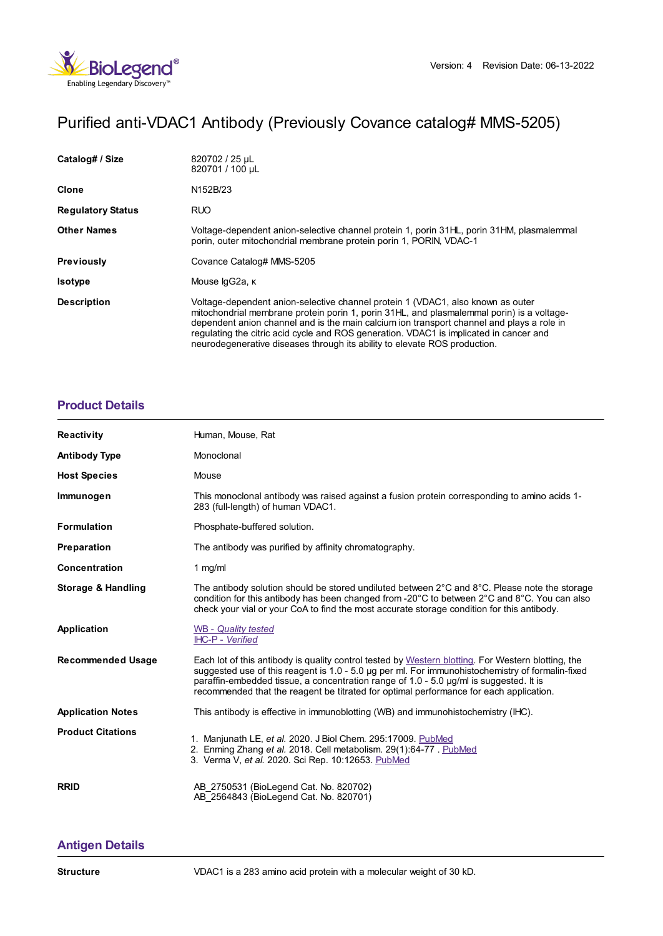

# Purified anti-VDAC1 Antibody (Previously Covance catalog# MMS-5205)

| Catalog# / Size          | 820702 / 25 µL<br>820701 / 100 µL                                                                                                                                                                                                                                                                                                                                                                                                                |
|--------------------------|--------------------------------------------------------------------------------------------------------------------------------------------------------------------------------------------------------------------------------------------------------------------------------------------------------------------------------------------------------------------------------------------------------------------------------------------------|
| <b>Clone</b>             | N <sub>152</sub> B <sub>/23</sub>                                                                                                                                                                                                                                                                                                                                                                                                                |
| <b>Regulatory Status</b> | <b>RUO</b>                                                                                                                                                                                                                                                                                                                                                                                                                                       |
| <b>Other Names</b>       | Voltage-dependent anion-selective channel protein 1, porin 31HL, porin 31HM, plasmalemmal<br>porin, outer mitochondrial membrane protein porin 1, PORIN, VDAC-1                                                                                                                                                                                                                                                                                  |
| <b>Previously</b>        | Covance Catalog# MMS-5205                                                                                                                                                                                                                                                                                                                                                                                                                        |
| <b>Isotype</b>           | Mouse lgG2a, к                                                                                                                                                                                                                                                                                                                                                                                                                                   |
| <b>Description</b>       | Voltage-dependent anion-selective channel protein 1 (VDAC1, also known as outer<br>mitochondrial membrane protein porin 1, porin 31HL, and plasmalemmal porin) is a voltage-<br>dependent anion channel and is the main calcium ion transport channel and plays a role in<br>regulating the citric acid cycle and ROS generation. VDAC1 is implicated in cancer and<br>neurodegenerative diseases through its ability to elevate ROS production. |

### **[Product](https://www.biolegend.com/nl-nl/products/purified-anti-vdac1-antibody-11594?pdf=true&displayInline=true&leftRightMargin=15&topBottomMargin=15&filename=Purified anti-VDAC1 Antibody.pdf#productDetails) Details**

| <b>Reactivity</b>             | Human, Mouse, Rat                                                                                                                                                                                                                                                                                                                                                                                 |
|-------------------------------|---------------------------------------------------------------------------------------------------------------------------------------------------------------------------------------------------------------------------------------------------------------------------------------------------------------------------------------------------------------------------------------------------|
| <b>Antibody Type</b>          | Monoclonal                                                                                                                                                                                                                                                                                                                                                                                        |
| <b>Host Species</b>           | Mouse                                                                                                                                                                                                                                                                                                                                                                                             |
| Immunogen                     | This monoclonal antibody was raised against a fusion protein corresponding to amino acids 1-<br>283 (full-length) of human VDAC1.                                                                                                                                                                                                                                                                 |
| <b>Formulation</b>            | Phosphate-buffered solution.                                                                                                                                                                                                                                                                                                                                                                      |
| Preparation                   | The antibody was purified by affinity chromatography.                                                                                                                                                                                                                                                                                                                                             |
| Concentration                 | 1 $mg/ml$                                                                                                                                                                                                                                                                                                                                                                                         |
| <b>Storage &amp; Handling</b> | The antibody solution should be stored undiluted between $2^{\circ}$ C and $8^{\circ}$ C. Please note the storage<br>condition for this antibody has been changed from -20 $^{\circ}$ C to between 2 $^{\circ}$ C and 8 $^{\circ}$ C. You can also<br>check your vial or your CoA to find the most accurate storage condition for this antibody.                                                  |
| Application                   | <b>WB</b> - Quality tested<br>IHC-P - Verified                                                                                                                                                                                                                                                                                                                                                    |
| <b>Recommended Usage</b>      | Each lot of this antibody is quality control tested by Western blotting. For Western blotting, the<br>suggested use of this reagent is 1.0 - 5.0 µg per ml. For immunohistochemistry of formalin-fixed<br>paraffin-embedded tissue, a concentration range of $1.0 - 5.0$ $\mu$ g/ml is suggested. It is<br>recommended that the reagent be titrated for optimal performance for each application. |
| <b>Application Notes</b>      | This antibody is effective in immunoblotting (WB) and immunohistochemistry (IHC).                                                                                                                                                                                                                                                                                                                 |
| <b>Product Citations</b>      | 1. Manjunath LE, et al. 2020. J Biol Chem. 295:17009. PubMed<br>2. Enming Zhang et al. 2018. Cell metabolism. 29(1):64-77. PubMed<br>3. Verma V, et al. 2020. Sci Rep. 10:12653. PubMed                                                                                                                                                                                                           |
| <b>RRID</b>                   | AB 2750531 (BioLegend Cat. No. 820702)<br>AB 2564843 (BioLegend Cat. No. 820701)                                                                                                                                                                                                                                                                                                                  |

## **[Antigen](https://www.biolegend.com/nl-nl/products/purified-anti-vdac1-antibody-11594?pdf=true&displayInline=true&leftRightMargin=15&topBottomMargin=15&filename=Purified anti-VDAC1 Antibody.pdf#antigenDetails) Details**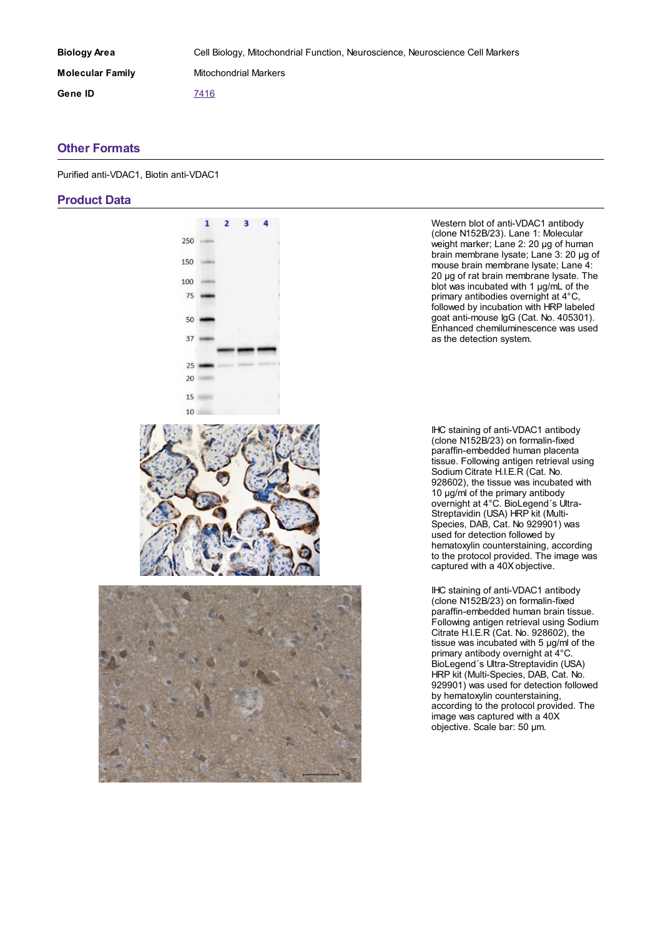| <b>Biology Area</b>     | Cell Biology, Mitochondrial Function, Neuroscience, Neuroscience Cell Markers |
|-------------------------|-------------------------------------------------------------------------------|
| <b>Molecular Family</b> | Mitochondrial Markers                                                         |
| Gene ID                 | 7416                                                                          |

#### **Other [Formats](https://www.biolegend.com/nl-nl/products/purified-anti-vdac1-antibody-11594?pdf=true&displayInline=true&leftRightMargin=15&topBottomMargin=15&filename=Purified anti-VDAC1 Antibody.pdf#productOtherFormats)**

Purified anti-VDAC1, Biotin anti-VDAC1

#### **Product Data**



Western blot of anti-VDAC1 antibody (clone N152B/23). Lane 1: Molecular weight marker; Lane 2: 20 µg of human brain membrane lysate; Lane 3: 20 µg of mouse brain membrane lysate; Lane 4: 20 µg of rat brain membrane lysate. The blot was incubated with 1 µg/mL of the primary antibodies overnight at 4°C, followed by incubation with HRP labeled goat anti-mouse IgG (Cat. No. 405301). Enhanced chemiluminescence was used as the detection system.

IHC staining of anti-VDAC1 antibody (clone N152B/23) on formalin-fixed paraffin-embedded human placenta tissue. Following antigen retrieval using Sodium Citrate H.I.E.R (Cat. No. 928602), the tissue was incubated with 10 µg/ml of the primary antibody overnight at 4°C. BioLegend´s Ultra-Streptavidin (USA) HRP kit (Multi-Species, DAB, Cat. No 929901) was used for detection followed by hematoxylin counterstaining, according to the protocol provided. The image was captured with a 40X objective.

IHC staining of anti-VDAC1 antibody (clone N152B/23) on formalin-fixed paraffin-embedded human brain tissue. Following antigen retrieval using Sodium Citrate H.I.E.R (Cat. No. 928602), the tissue was incubated with 5 µg/ml of the primary antibody overnight at 4°C. BioLegend´s Ultra-Streptavidin (USA) HRP kit (Multi-Species, DAB, Cat. No. 929901) was used for detection followed by hematoxylin counterstaining, according to the protocol provided. The image was captured with a 40X objective. Scale bar: 50 µm.